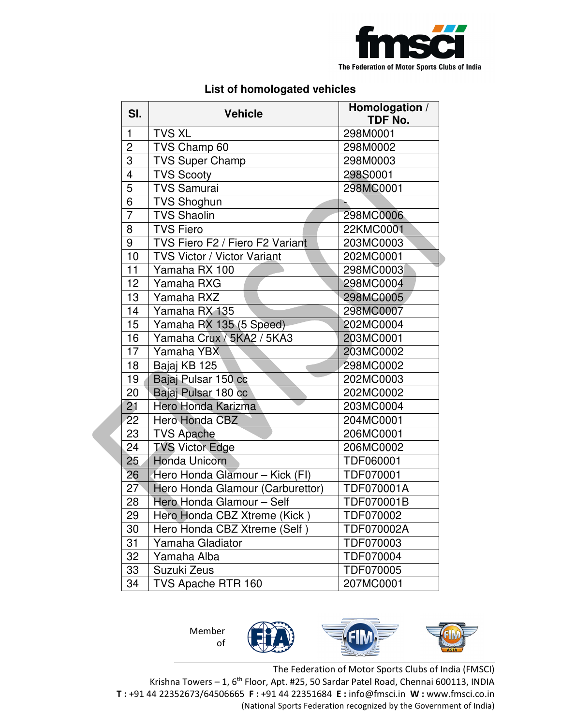

## **List of homologated vehicles**

| SI.             | <b>Vehicle</b>                   | Homologation /<br><b>TDF No.</b> |
|-----------------|----------------------------------|----------------------------------|
| 1               | <b>TVS XL</b>                    | 298M0001                         |
| $\overline{2}$  | TVS Champ 60                     | 298M0002                         |
| 3               | <b>TVS Super Champ</b>           | 298M0003                         |
| $\overline{4}$  | <b>TVS Scooty</b>                | 298S0001                         |
| $\overline{5}$  | <b>TVS Samurai</b>               | 298MC0001                        |
| 6               | <b>TVS Shoghun</b>               |                                  |
| $\overline{7}$  | <b>TVS Shaolin</b>               | 298MC0006                        |
| 8               | <b>TVS Fiero</b>                 | 22KMC0001                        |
| 9               | TVS Fiero F2 / Fiero F2 Variant  | 203MC0003                        |
| 10              | TVS Victor / Victor Variant      | 202MC0001                        |
| 11              | Yamaha RX 100                    | 298MC0003                        |
| 12              | Yamaha RXG                       | 298MC0004                        |
| 13              | Yamaha RXZ                       | 298MC0005                        |
| 14              | Yamaha RX 135                    | 298MC0007                        |
| 15              | Yamaha RX 135 (5 Speed)          | 202MC0004                        |
| 16              | Yamaha Crux / 5KA2 / 5KA3        | 203MC0001                        |
| 17              | Yamaha YBX                       | 203MC0002                        |
| 18              | Bajaj KB 125                     | 298MC0002                        |
| 19              | Bajaj Pulsar 150 cc              | 202MC0003                        |
| 20              | Bajaj Pulsar 180 cc              | 202MC0002                        |
| 21              | Hero Honda Karizma               | 203MC0004                        |
| 22              | Hero Honda CBZ                   | 204MC0001                        |
| 23              | <b>TVS Apache</b>                | 206MC0001                        |
| 24              | <b>TVS Victor Edge</b>           | 206MC0002                        |
| $\overline{25}$ | <b>Honda Unicorn</b>             | TDF060001                        |
| 26              | Hero Honda Glamour - Kick (FI)   | TDF070001                        |
| 27              | Hero Honda Glamour (Carburettor) | TDF070001A                       |
| 28              | Hero Honda Glamour - Self        | TDF070001B                       |
| 29              | Hero Honda CBZ Xtreme (Kick)     | TDF070002                        |
| 30              | Hero Honda CBZ Xtreme (Self)     | TDF070002A                       |
| 31              | Yamaha Gladiator                 | TDF070003                        |
| 32              | Yamaha Alba                      | TDF070004                        |
| 33              | Suzuki Zeus                      | TDF070005                        |
| 34              | TVS Apache RTR 160               | 207MC0001                        |



The Federation of Motor Sports Clubs of India (FMSCI) Krishna Towers - 1, 6<sup>th</sup> Floor, Apt. #25, 50 Sardar Patel Road, Chennai 600113, INDIA **T :** +91 44 22352673/64506665 **F :** +91 44 22351684 **E :** info@fmsci.in **W :** www.fmsci.co.in (National Sports Federation recognized by the Government of India)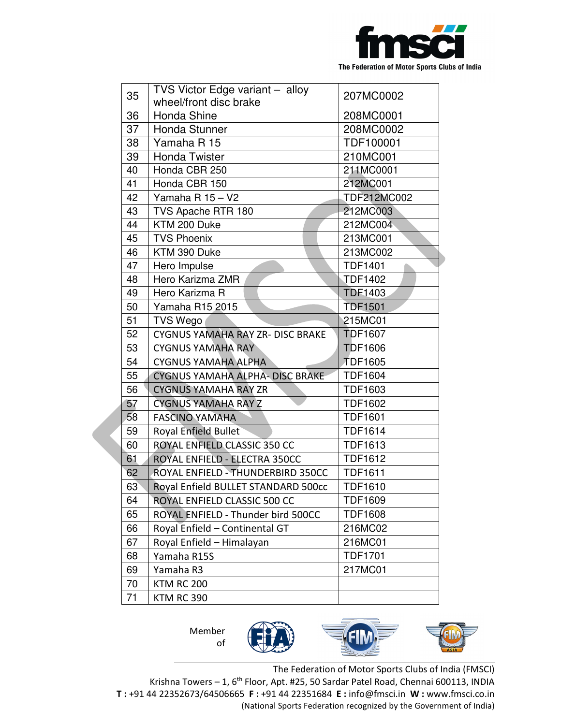

|    | TVS Victor Edge variant - alloy         |                  |
|----|-----------------------------------------|------------------|
| 35 | wheel/front disc brake                  | 207MC0002        |
| 36 | Honda Shine                             | 208MC0001        |
| 37 | <b>Honda Stunner</b>                    | 208MC0002        |
| 38 | Yamaha R 15                             | <b>TDF100001</b> |
| 39 | <b>Honda Twister</b>                    | 210MC001         |
| 40 | Honda CBR 250                           | 211MC0001        |
| 41 | Honda CBR 150                           | 212MC001         |
| 42 | Yamaha R 15 - V2                        | TDF212MC002      |
| 43 | TVS Apache RTR 180                      | 212MC003         |
| 44 | KTM 200 Duke                            | 212MC004         |
| 45 | <b>TVS Phoenix</b>                      | 213MC001         |
| 46 | KTM 390 Duke                            | 213MC002         |
| 47 | Hero Impulse                            | <b>TDF1401</b>   |
| 48 | Hero Karizma ZMR                        | <b>TDF1402</b>   |
| 49 | Hero Karizma R                          | <b>TDF1403</b>   |
| 50 | Yamaha R15 2015                         | <b>TDF1501</b>   |
| 51 | <b>TVS Wego</b>                         | 215MC01          |
| 52 | <b>CYGNUS YAMAHA RAY ZR- DISC BRAKE</b> | <b>TDF1607</b>   |
| 53 | <b>CYGNUS YAMAHA RAY</b>                | <b>TDF1606</b>   |
| 54 | <b>CYGNUS YAMAHA ALPHA</b>              | <b>TDF1605</b>   |
| 55 | CYGNUS YAMAHA ALPHA- DISC BRAKE         | <b>TDF1604</b>   |
| 56 | <b>CYGNUS YAMAHA RAY ZR</b>             | <b>TDF1603</b>   |
| 57 | <b>CYGNUS YAMAHA RAY Z</b>              | <b>TDF1602</b>   |
| 58 | <b>FASCINO YAMAHA</b>                   | <b>TDF1601</b>   |
| 59 | <b>Royal Enfield Bullet</b>             | <b>TDF1614</b>   |
| 60 | ROYAL ENFIELD CLASSIC 350 CC            | <b>TDF1613</b>   |
| 61 | ROYAL ENFIELD - ELECTRA 350CC           | <b>TDF1612</b>   |
| 62 | ROYAL ENFIELD - THUNDERBIRD 350CC       | <b>TDF1611</b>   |
| 63 | Royal Enfield BULLET STANDARD 500cc     | <b>TDF1610</b>   |
| 64 | ROYAL ENFIELD CLASSIC 500 CC            | <b>TDF1609</b>   |
| 65 | ROYAL ENFIELD - Thunder bird 500CC      | <b>TDF1608</b>   |
| 66 | Royal Enfield - Continental GT          | 216MC02          |
| 67 | Royal Enfield - Himalayan               | 216MC01          |
| 68 | Yamaha R15S                             | <b>TDF1701</b>   |
| 69 | Yamaha R3                               | 217MC01          |
| 70 | <b>KTM RC 200</b>                       |                  |
| 71 | KTM RC 390                              |                  |

Member of



The Federation of Motor Sports Clubs of India (FMSCI) Krishna Towers - 1, 6<sup>th</sup> Floor, Apt. #25, 50 Sardar Patel Road, Chennai 600113, INDIA **T :** +91 44 22352673/64506665 **F :** +91 44 22351684 **E :** info@fmsci.in **W :** www.fmsci.co.in (National Sports Federation recognized by the Government of India)